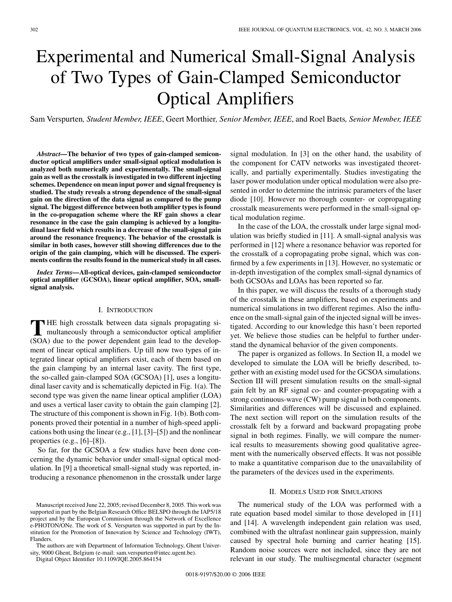# Experimental and Numerical Small-Signal Analysis of Two Types of Gain-Clamped Semiconductor Optical Amplifiers

Sam Verspurten*, Student Member, IEEE*, Geert Morthier*, Senior Member, IEEE*, and Roel Baets*, Senior Member, IEEE*

*Abstract—***The behavior of two types of gain-clamped semiconductor optical amplifiers under small-signal optical modulation is analyzed both numerically and experimentally. The small-signal gain as well as the crosstalk is investigated in two different injecting schemes. Dependence on mean input power and signal frequency is studied. The study reveals a strong dependence of the small-signal gain on the direction of the data signal as compared to the pump signal. The biggest difference between both amplifier types is found in the co-propagation scheme where the RF gain shows a clear resonance in the case the gain clamping is achieved by a longitudinal laser field which results in a decrease of the small-signal gain around the resonance frequency. The behavior of the crosstalk is similar in both cases, however still showing differences due to the origin of the gain clamping, which will be discussed. The experiments confirm the results found in the numerical study in all cases.**

*Index Terms—***All-optical devices, gain-clamped semiconductor optical amplifier (GCSOA), linear optical amplifier, SOA, smallsignal analysis.**

#### I. INTRODUCTION

**T** HE high crosstalk between data signals propagating simultaneously through a semiconductor optical amplifier (SOA) due to the power dependent gain lead to the development of linear optical amplifiers. Up till now two types of integrated linear optical amplifiers exist, each of them based on the gain clamping by an internal laser cavity. The first type, the so-called gain-clamped SOA (GCSOA) [[1\]](#page-9-0), uses a longitudinal laser cavity and is schematically depicted in Fig. 1(a). The second type was given the name linear optical amplifier (LOA) and uses a vertical laser cavity to obtain the gain clamping [[2\]](#page-9-0). The structure of this component is shown in Fig. 1(b). Both components proved their potential in a number of high-speed applications both using the linear (e.g., [[1\]](#page-9-0), [[3\]](#page-9-0)–[\[5](#page-9-0)]) and the nonlinear properties (e.g., [[6\]](#page-9-0)–[\[8](#page-9-0)]).

So far, for the GCSOA a few studies have been done concerning the dynamic behavior under small-signal optical modulation. In [\[9](#page-9-0)] a theoretical small-signal study was reported, introducing a resonance phenomenon in the crosstalk under large

The authors are with Department of Information Technology, Ghent University, 9000 Ghent, Belgium (e-mail: sam.verspurten@intec.ugent.be).

Digital Object Identifier 10.1109/JQE.2005.864154

signal modulation. In [[3\]](#page-9-0) on the other hand, the usability of the component for CATV networks was investigated theoretically, and partially experimentally. Studies investigating the laser power modulation under optical modulation were also presented in order to determine the intrinsic parameters of the laser diode [\[10](#page-9-0)]. However no thorough counter- or copropagating crosstalk measurements were performed in the small-signal optical modulation regime.

In the case of the LOA, the crosstalk under large signal modulation was briefly studied in [\[11](#page-9-0)]. A small-signal analysis was performed in [\[12\]](#page-9-0) where a resonance behavior was reported for the crosstalk of a copropagating probe signal, which was confirmed by a few experiments in [[13\]](#page-9-0). However, no systematic or in-depth investigation of the complex small-signal dynamics of both GCSOAs and LOAs has been reported so far.

In this paper, we will discuss the results of a thorough study of the crosstalk in these amplifiers, based on experiments and numerical simulations in two different regimes. Also the influence on the small-signal gain of the injected signal will be investigated. According to our knowledge this hasn't been reported yet. We believe those studies can be helpful to further understand the dynamical behavior of the given components.

The paper is organized as follows. In Section II, a model we developed to simulate the LOA will be briefly described, together with an existing model used for the GCSOA simulations. Section III will present simulation results on the small-signal gain felt by an RF signal co- and counter-propagating with a strong continuous-wave (CW) pump signal in both components. Similarities and differences will be discussed and explained. The next section will report on the simulation results of the crosstalk felt by a forward and backward propagating probe signal in both regimes. Finally, we will compare the numerical results to measurements showing good qualitative agreement with the numerically observed effects. It was not possible to make a quantitative comparison due to the unavailability of the parameters of the devices used in the experiments.

## II. MODELS USED FOR SIMULATIONS

The numerical study of the LOA was performed with a rate equation based model similar to those developed in [\[11](#page-9-0)] and [\[14](#page-9-0)]. A wavelength independent gain relation was used, combined with the ultrafast nonlinear gain suppression, mainly caused by spectral hole burning and carrier heating [[15\]](#page-9-0). Random noise sources were not included, since they are not relevant in our study. The multisegmental character (segment

Manuscript received June 22, 2005; revised December 8, 2005. This work was supported in part by the Belgian Research Office BELSPO through the IAP5/18 project and by the European Commission through the Network of Excellence e-PHOTON/ONe. The work of S. Verspurten was supported in part by the Institution for the Promotion of Innovation by Science and Technology (IWT), Flanders.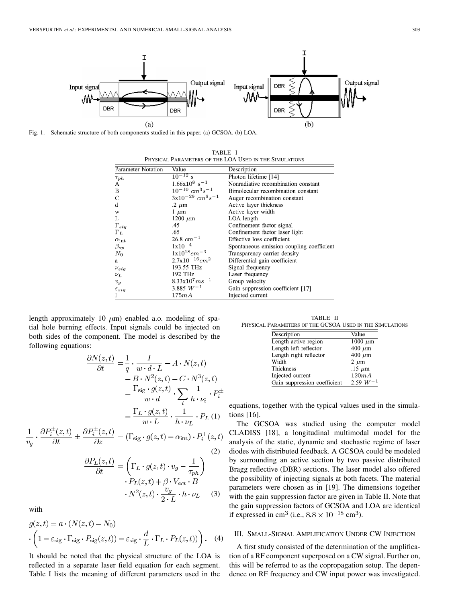

Fig. 1. Schematic structure of both components studied in this paper. (a) GCSOA. (b) LOA.

| TABLE I                                                |                                |                                           |  |
|--------------------------------------------------------|--------------------------------|-------------------------------------------|--|
| PHYSICAL PARAMETERS OF THE LOA USED IN THE SIMULATIONS |                                |                                           |  |
| Parameter Notation                                     | Value                          | Description                               |  |
| $\tau_{ph}$                                            | $10^{-12}$ s                   | Photon lifetime [14]                      |  |
| A                                                      | $1.66x10^{8} s^{-1}$           | Nonradiative recombination constant       |  |
| B                                                      | $10^{-10}$ $cm^3s^{-1}$        | Bimolecular recombination constant        |  |
| С                                                      | $3x10^{-29}$ $cm^6s^{-1}$      | Auger recombination constant              |  |
| d                                                      | .2 $\mu$ m                     | Active layer thickness                    |  |
| W                                                      | $1 \mu m$                      | Active layer width                        |  |
| L                                                      | 1200 $\mu$ m                   | LOA length                                |  |
| $\Gamma_{sig}$                                         | .45                            | Confinement factor signal                 |  |
| $\Gamma_L$                                             | .65                            | Confinement factor laser light            |  |
| $\alpha_{\rm int}$                                     | $26.8 \ cm^{-1}$               | Effective loss coefficient                |  |
| $\beta_{sp}$                                           | $1x10^{-4}$                    | Spontaneous emission coupling coefficient |  |
| $N_0$                                                  | $1x10^{18}$ cm <sup>-3</sup>   | Transparency carrier density              |  |
| a                                                      | $2.7x10^{-16}$ cm <sup>2</sup> | Differential gain coefficient             |  |
| $\nu_{sig}$                                            | 193.55 THz                     | Signal frequency                          |  |
| $\nu_L$                                                | 192 THz                        | Laser frequency                           |  |
| $v_g$                                                  | $8.33 \times 10^7$ $ms^{-1}$   | Group velocity                            |  |
| $\varepsilon_{sig}$                                    | 3.885 $W^{-1}$                 | Gain suppression coefficient [17]         |  |
|                                                        | 175mA                          | Injected current                          |  |

length approximately 10  $\mu$ m) enabled a.o. modeling of spatial hole burning effects. Input signals could be injected on both sides of the component. The model is described by the following equations:

$$
\frac{\partial N(z,t)}{\partial t} = \frac{1}{q} \cdot \frac{I}{w \cdot d \cdot L} - A \cdot N(z,t)
$$

$$
- B \cdot N^2(z,t) - C \cdot N^3(z,t)
$$

$$
- \frac{\Gamma_{\text{sig}} \cdot g(z,t)}{w \cdot d} \cdot \sum_{i} \frac{1}{h \cdot \nu_i} \cdot P_i^{\pm}
$$

$$
- \frac{\Gamma_L \cdot g(z,t)}{w \cdot L} \cdot \frac{1}{h \cdot \nu_L} \cdot P_L(1)
$$

$$
\frac{1}{v_g} \cdot \frac{\partial P_i^{\pm}(z,t)}{\partial t} \pm \frac{\partial P_i^{\pm}(z,t)}{\partial z} = (\Gamma_{\text{sig}} \cdot g(z,t) - \alpha_{\text{int}}) \cdot P_i^{\pm}(z,t)
$$
\n(2)

$$
\frac{\partial P_L(z,t)}{\partial t} = \left(\Gamma_L \cdot g(z,t) \cdot v_g - \frac{1}{\tau_{ph}}\right) \cdot P_L(z,t) + \beta \cdot V_{act} \cdot B \cdot N^2(z,t) \cdot \frac{v_g}{2 \cdot L} \cdot h \cdot \nu_L \quad (3)
$$

with

$$
g(z,t) = a \cdot (N(z,t) - N_0)
$$

$$
\cdot \left(1 - \varepsilon_{\text{sig}} \cdot \Gamma_{\text{sig}} \cdot P_{\text{sig}}(z,t)\right) - \varepsilon_{\text{sig}} \cdot \frac{d}{L} \cdot \Gamma_L \cdot P_L(z,t))\right). \quad (4)
$$

It should be noted that the physical structure of the LOA is reflected in a separate laser field equation for each segment. Table I lists the meaning of different parameters used in the

TABLE II PHYSICAL PARAMETERS OF THE GCSOA USED IN THE SIMULATIONS

| Description                  | Value        |
|------------------------------|--------------|
| Length active region         | $1000 \mu m$ |
| Length left reflector        | 400 $\mu$ m  |
| Length right reflector       | 400 $\mu$ m  |
| Width                        | $2 \mu m$    |
| Thickness                    | $.15 \mu m$  |
| Injected current             | 120mA        |
| Gain suppression coefficient | 2.59 W       |

equations, together with the typical values used in the simulations [[16\]](#page-9-0).

The GCSOA was studied using the computer model CLADISS [\[18](#page-9-0)], a longitudinal multimodal model for the analysis of the static, dynamic and stochastic regime of laser diodes with distributed feedback. A GCSOA could be modeled by surrounding an active section by two passive distributed Bragg reflective (DBR) sections. The laser model also offered the possibility of injecting signals at both facets. The material parameters were chosen as in [[19\]](#page-9-0). The dimensions together with the gain suppression factor are given in Table II. Note that the gain suppression factors of GCSOA and LOA are identical if expressed in cm<sup>3</sup> (i.e.,  $8.8 \times 10^{-18}$  cm<sup>3</sup>).

# III. SMALL-SIGNAL AMPLIFICATION UNDER CW INJECTION

A first study consisted of the determination of the amplification of a RF component superposed on a CW signal. Further on, this will be referred to as the copropagation setup. The dependence on RF frequency and CW input power was investigated.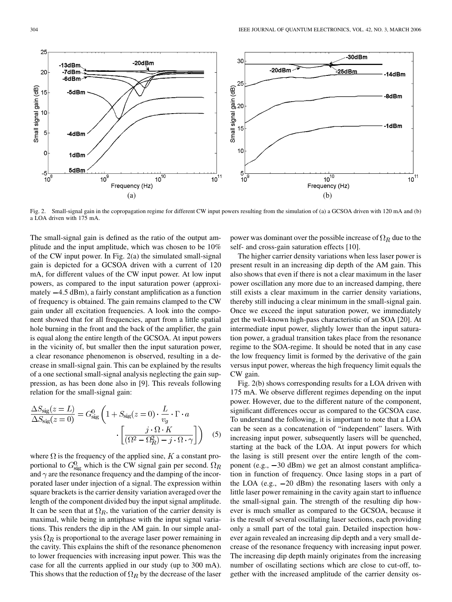

Fig. 2. Small-signal gain in the copropagation regime for different CW input powers resulting from the simulation of (a) a GCSOA driven with 120 mA and (b) a LOA driven with 175 mA.

The small-signal gain is defined as the ratio of the output amplitude and the input amplitude, which was chosen to be 10% of the CW input power. In Fig. 2(a) the simulated small-signal gain is depicted for a GCSOA driven with a current of 120 mA, for different values of the CW input power. At low input powers, as compared to the input saturation power (approximately  $-4.5$  dBm), a fairly constant amplification as a function of frequency is obtained. The gain remains clamped to the CW gain under all excitation frequencies. A look into the component showed that for all frequencies, apart from a little spatial hole burning in the front and the back of the amplifier, the gain is equal along the entire length of the GCSOA. At input powers in the vicinity of, but smaller then the input saturation power, a clear resonance phenomenon is observed, resulting in a decrease in small-signal gain. This can be explained by the results of a one sectional small-signal analysis neglecting the gain suppression, as has been done also in [[9\]](#page-9-0). This reveals following relation for the small-signal gain:

$$
\frac{\Delta S_{\rm sig}(z=L)}{\Delta S_{\rm sig}(z=0)} = G_{\rm sig}^0 \left( 1 + S_{\rm sig}(z=0) \cdot \frac{L}{v_g} \cdot \Gamma \cdot a \cdot \left[ \frac{j \cdot \Omega \cdot K}{(\Omega^2 - \Omega_R^2) - j \cdot \Omega \cdot \gamma} \right] \right) \quad (5)
$$

where  $\Omega$  is the frequency of the applied sine, K a constant proportional to  $G_{\text{sig}}^0$  which is the CW signal gain per second.  $\Omega_R$ and  $\gamma$  are the resonance frequency and the damping of the incorporated laser under injection of a signal. The expression within square brackets is the carrier density variation averaged over the length of the component divided buy the input signal amplitude. It can be seen that at  $\Omega_R$ , the variation of the carrier density is maximal, while being in antiphase with the input signal variations. This renders the dip in the AM gain. In our simple analysis  $\Omega_R$  is proportional to the average laser power remaining in the cavity. This explains the shift of the resonance phenomenon to lower frequencies with increasing input power. This was the case for all the currents applied in our study (up to 300 mA). This shows that the reduction of  $\Omega_R$  by the decrease of the laser

power was dominant over the possible increase of  $\Omega_R$  due to the self- and cross-gain saturation effects [[10\]](#page-9-0).

The higher carrier density variations when less laser power is present result in an increasing dip depth of the AM gain. This also shows that even if there is not a clear maximum in the laser power oscillation any more due to an increased damping, there still exists a clear maximum in the carrier density variations, thereby still inducing a clear minimum in the small-signal gain. Once we exceed the input saturation power, we immediately get the well-known high-pass characteristic of an SOA [[20\]](#page-9-0). At intermediate input power, slightly lower than the input saturation power, a gradual transition takes place from the resonance regime to the SOA-regime. It should be noted that in any case the low frequency limit is formed by the derivative of the gain versus input power, whereas the high frequency limit equals the CW gain.

Fig. 2(b) shows corresponding results for a LOA driven with 175 mA. We observe different regimes depending on the input power. However, due to the different nature of the component, significant differences occur as compared to the GCSOA case. To understand the following, it is important to note that a LOA can be seen as a concatenation of "independent" lasers. With increasing input power, subsequently lasers will be quenched, starting at the back of the LOA. At input powers for which the lasing is still present over the entire length of the component (e.g.,  $-30$  dBm) we get an almost constant amplification in function of frequency. Once lasing stops in a part of the LOA (e.g.,  $-20$  dBm) the resonating lasers with only a little laser power remaining in the cavity again start to influence the small-signal gain. The strength of the resulting dip however is much smaller as compared to the GCSOA, because it is the result of several oscillating laser sections, each providing only a small part of the total gain. Detailed inspection however again revealed an increasing dip depth and a very small decrease of the resonance frequency with increasing input power. The increasing dip depth mainly originates from the increasing number of oscillating sections which are close to cut-off, together with the increased amplitude of the carrier density os-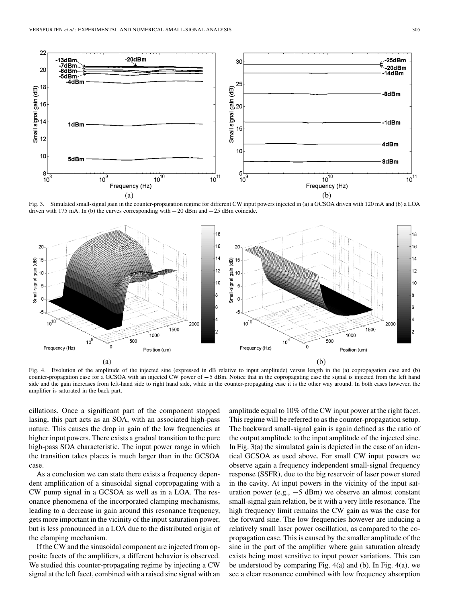

Fig. 3. Simulated small-signal gain in the counter-propagation regime for different CW input powers injected in (a) a GCSOA driven with 120 mA and (b) a LOA



Fig. 4. Evolution of the amplitude of the injected sine (expressed in dB relative to input amplitude) versus length in the (a) copropagation case and (b) (a)<br>Fig. 4. Evolution of the amplitude of the injected sine (expressed in dB relative to input amplitude) versus length in the (a) copropagation case and (b)<br>counter-propagation case for a GCSOA with an injected CW power o side and the gain increases from left-hand side to right hand side, while in the counter-propagating case it is the other way around. In both cases however, the amplifier is saturated in the back part.

cillations. Once a significant part of the component stopped lasing, this part acts as an SOA, with an associated high-pass nature. This causes the drop in gain of the low frequencies at higher input powers. There exists a gradual transition to the pure high-pass SOA characteristic. The input power range in which the transition takes places is much larger than in the GCSOA case.

As a conclusion we can state there exists a frequency dependent amplification of a sinusoidal signal copropagating with a CW pump signal in a GCSOA as well as in a LOA. The resonance phenomena of the incorporated clamping mechanisms, leading to a decrease in gain around this resonance frequency, gets more important in the vicinity of the input saturation power, but is less pronounced in a LOA due to the distributed origin of the clamping mechanism.

If the CW and the sinusoidal component are injected from opposite facets of the amplifiers, a different behavior is observed. We studied this counter-propagating regime by injecting a CW signal at the left facet, combined with a raised sine signal with an amplitude equal to 10% of the CW input power at the right facet. This regime will be referred to as the counter-propagation setup. The backward small-signal gain is again defined as the ratio of the output amplitude to the input amplitude of the injected sine. In Fig. 3(a) the simulated gain is depicted in the case of an identical GCSOA as used above. For small CW input powers we observe again a frequency independent small-signal frequency response (SSFR), due to the big reservoir of laser power stored in the cavity. At input powers in the vicinity of the input saturation power (e.g.,  $-5$  dBm) we observe an almost constant small-signal gain relation, be it with a very little resonance. The high frequency limit remains the CW gain as was the case for the forward sine. The low frequencies however are inducing a relatively small laser power oscillation, as compared to the copropagation case. This is caused by the smaller amplitude of the sine in the part of the amplifier where gain saturation already exists being most sensitive to input power variations. This can be understood by comparing Fig. 4(a) and (b). In Fig. 4(a), we see a clear resonance combined with low frequency absorption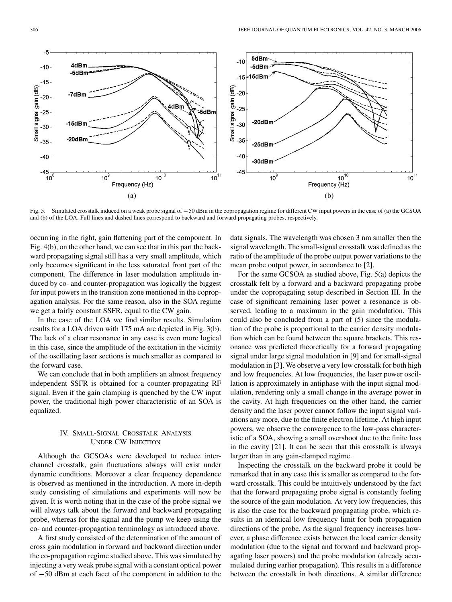

and (b) of the LOA. Full lines and dashed lines correspond to backward and forward propagating probes, respectively.

occurring in the right, gain flattening part of the component. In Fig. 4(b), on the other hand, we can see that in this part the backward propagating signal still has a very small amplitude, which only becomes significant in the less saturated front part of the component. The difference in laser modulation amplitude induced by co- and counter-propagation was logically the biggest for input powers in the transition zone mentioned in the copropagation analysis. For the same reason, also in the SOA regime we get a fairly constant SSFR, equal to the CW gain.

In the case of the LOA we find similar results. Simulation results for a LOA driven with 175 mA are depicted in Fig. 3(b). The lack of a clear resonance in any case is even more logical in this case, since the amplitude of the excitation in the vicinity of the oscillating laser sections is much smaller as compared to the forward case.

We can conclude that in both amplifiers an almost frequency independent SSFR is obtained for a counter-propagating RF signal. Even if the gain clamping is quenched by the CW input power, the traditional high power characteristic of an SOA is equalized.

# IV. SMALL-SIGNAL CROSSTALK ANALYSIS UNDER CW INJECTION

Although the GCSOAs were developed to reduce interchannel crosstalk, gain fluctuations always will exist under dynamic conditions. Moreover a clear frequency dependence is observed as mentioned in the introduction. A more in-depth study consisting of simulations and experiments will now be given. It is worth noting that in the case of the probe signal we will always talk about the forward and backward propagating probe, whereas for the signal and the pump we keep using the co- and counter-propagation terminology as introduced above.

A first study consisted of the determination of the amount of cross gain modulation in forward and backward direction under the co-propagation regime studied above. This was simulated by injecting a very weak probe signal with a constant optical power  $of -50$  dBm at each facet of the component in addition to the

data signals. The wavelength was chosen 3 nm smaller then the signal wavelength. The small-signal crosstalk was defined as the ratio of the amplitude of the probe output power variations to the mean probe output power, in accordance to [\[2](#page-9-0)].

For the same GCSOA as studied above, Fig. 5(a) depicts the crosstalk felt by a forward and a backward propagating probe under the copropagating setup described in Section III. In the case of significant remaining laser power a resonance is observed, leading to a maximum in the gain modulation. This could also be concluded from a part of (5) since the modulation of the probe is proportional to the carrier density modulation which can be found between the square brackets. This resonance was predicted theoretically for a forward propagating signal under large signal modulation in [\[9](#page-9-0)] and for small-signal modulation in [[3\]](#page-9-0). We observe a very low crosstalk for both high and low frequencies. At low frequencies, the laser power oscillation is approximately in antiphase with the input signal modulation, rendering only a small change in the average power in the cavity. At high frequencies on the other hand, the carrier density and the laser power cannot follow the input signal variations any more, due to the finite electron lifetime. At high input powers, we observe the convergence to the low-pass characteristic of a SOA, showing a small overshoot due to the finite loss in the cavity [\[21](#page-9-0)]. It can be seen that this crosstalk is always larger than in any gain-clamped regime.

Inspecting the crosstalk on the backward probe it could be remarked that in any case this is smaller as compared to the forward crosstalk. This could be intuitively understood by the fact that the forward propagating probe signal is constantly feeling the source of the gain modulation. At very low frequencies, this is also the case for the backward propagating probe, which results in an identical low frequency limit for both propagation directions of the probe. As the signal frequency increases however, a phase difference exists between the local carrier density modulation (due to the signal and forward and backward propagating laser powers) and the probe modulation (already accumulated during earlier propagation). This results in a difference between the crosstalk in both directions. A similar difference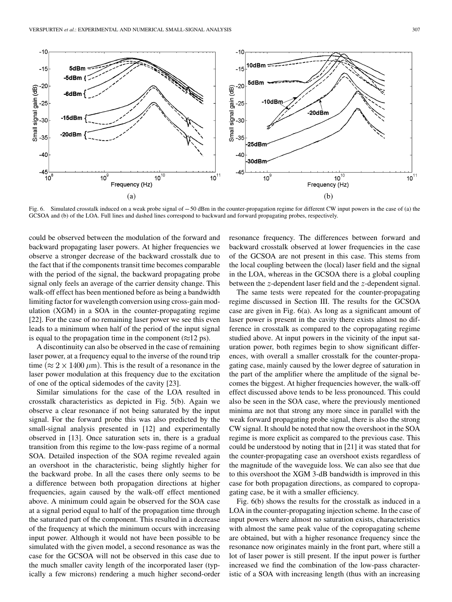

GCSOA and (b) of the LOA. Full lines and dashed lines correspond to backward and forward propagating probes, respectively.

could be observed between the modulation of the forward and backward propagating laser powers. At higher frequencies we observe a stronger decrease of the backward crosstalk due to the fact that if the components transit time becomes comparable with the period of the signal, the backward propagating probe signal only feels an average of the carrier density change. This walk-off effect has been mentioned before as being a bandwidth limiting factor for wavelength conversion using cross-gain modulation (XGM) in a SOA in the counter-propagating regime [\[22](#page-9-0)]. For the case of no remaining laser power we see this even leads to a minimum when half of the period of the input signal is equal to the propagation time in the component  $(\approx 12 \text{ ps})$ .

A discontinuity can also be observed in the case of remaining laser power, at a frequency equal to the inverse of the round trip time ( $\approx 2 \times 1400 \ \mu m$ ). This is the result of a resonance in the laser power modulation at this frequency due to the excitation of one of the optical sidemodes of the cavity [[23\]](#page-9-0).

Similar simulations for the case of the LOA resulted in crosstalk characteristics as depicted in Fig. 5(b). Again we observe a clear resonance if not being saturated by the input signal. For the forward probe this was also predicted by the small-signal analysis presented in [[12\]](#page-9-0) and experimentally observed in [\[13](#page-9-0)]. Once saturation sets in, there is a gradual transition from this regime to the low-pass regime of a normal SOA. Detailed inspection of the SOA regime revealed again an overshoot in the characteristic, being slightly higher for the backward probe. In all the cases there only seems to be a difference between both propagation directions at higher frequencies, again caused by the walk-off effect mentioned above. A minimum could again be observed for the SOA case at a signal period equal to half of the propagation time through the saturated part of the component. This resulted in a decrease of the frequency at which the minimum occurs with increasing input power. Although it would not have been possible to be simulated with the given model, a second resonance as was the case for the GCSOA will not be observed in this case due to the much smaller cavity length of the incorporated laser (typically a few microns) rendering a much higher second-order

resonance frequency. The differences between forward and backward crosstalk observed at lower frequencies in the case of the GCSOA are not present in this case. This stems from the local coupling between the (local) laser field and the signal in the LOA, whereas in the GCSOA there is a global coupling between the  $z$ -dependent laser field and the  $z$ -dependent signal.

The same tests were repeated for the counter-propagating regime discussed in Section III. The results for the GCSOA case are given in Fig. 6(a). As long as a significant amount of laser power is present in the cavity there exists almost no difference in crosstalk as compared to the copropagating regime studied above. At input powers in the vicinity of the input saturation power, both regimes begin to show significant differences, with overall a smaller crosstalk for the counter-propagating case, mainly caused by the lower degree of saturation in the part of the amplifier where the amplitude of the signal becomes the biggest. At higher frequencies however, the walk-off effect discussed above tends to be less pronounced. This could also be seen in the SOA case, where the previously mentioned minima are not that strong any more since in parallel with the weak forward propagating probe signal, there is also the strong CW signal. It should be noted that now the overshoot in the SOA regime is more explicit as compared to the previous case. This could be understood by noting that in [[21\]](#page-9-0) it was stated that for the counter-propagating case an overshoot exists regardless of the magnitude of the waveguide loss. We can also see that due to this overshoot the XGM 3-dB bandwidth is improved in this case for both propagation directions, as compared to copropagating case, be it with a smaller efficiency.

Fig. 6(b) shows the results for the crosstalk as induced in a LOA in the counter-propagating injection scheme. In the case of input powers where almost no saturation exists, characteristics with almost the same peak value of the copropagating scheme are obtained, but with a higher resonance frequency since the resonance now originates mainly in the front part, where still a lot of laser power is still present. If the input power is further increased we find the combination of the low-pass characteristic of a SOA with increasing length (thus with an increasing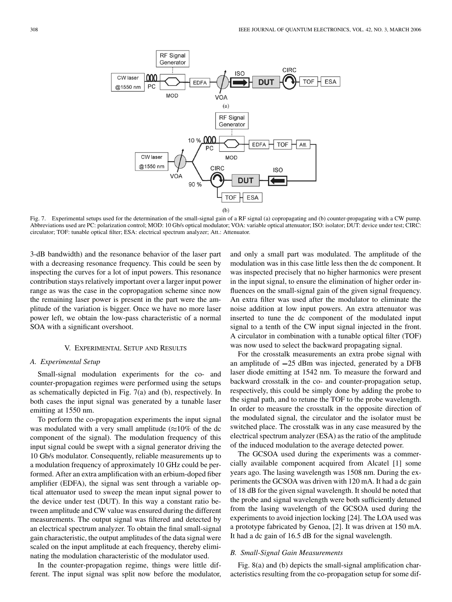

Fig. 7. Experimental setups used for the determination of the small-signal gain of a RF signal (a) copropagating and (b) counter-propagating with a CW pump. Abbreviations used are PC: polarization control; MOD: 10 Gb/s optical modulator; VOA: variable optical attenuator; ISO: isolator; DUT: device under test; CIRC: circulator; TOF: tunable optical filter; ESA: electrical spectrum analyzer; Att.: Attenuator.

3-dB bandwidth) and the resonance behavior of the laser part with a decreasing resonance frequency. This could be seen by inspecting the curves for a lot of input powers. This resonance contribution stays relatively important over a larger input power range as was the case in the copropagation scheme since now the remaining laser power is present in the part were the amplitude of the variation is bigger. Once we have no more laser power left, we obtain the low-pass characteristic of a normal SOA with a significant overshoot.

#### V. EXPERIMENTAL SETUP AND RESULTS

## *A. Experimental Setup*

Small-signal modulation experiments for the co- and counter-propagation regimes were performed using the setups as schematically depicted in Fig. 7(a) and (b), respectively. In both cases the input signal was generated by a tunable laser emitting at 1550 nm.

To perform the co-propagation experiments the input signal was modulated with a very small amplitude  $(\approx 10\%$  of the dc component of the signal). The modulation frequency of this input signal could be swept with a signal generator driving the 10 Gb/s modulator. Consequently, reliable measurements up to a modulation frequency of approximately 10 GHz could be performed. After an extra amplification with an erbium-doped fiber amplifier (EDFA), the signal was sent through a variable optical attenuator used to sweep the mean input signal power to the device under test (DUT). In this way a constant ratio between amplitude and CW value was ensured during the different measurements. The output signal was filtered and detected by an electrical spectrum analyzer. To obtain the final small-signal gain characteristic, the output amplitudes of the data signal were scaled on the input amplitude at each frequency, thereby eliminating the modulation characteristic of the modulator used.

In the counter-propagation regime, things were little different. The input signal was split now before the modulator, and only a small part was modulated. The amplitude of the modulation was in this case little less then the dc component. It was inspected precisely that no higher harmonics were present in the input signal, to ensure the elimination of higher order influences on the small-signal gain of the given signal frequency. An extra filter was used after the modulator to eliminate the noise addition at low input powers. An extra attenuator was inserted to tune the dc component of the modulated input signal to a tenth of the CW input signal injected in the front. A circulator in combination with a tunable optical filter (TOF) was now used to select the backward propagating signal.

For the crosstalk measurements an extra probe signal with an amplitude of  $-25$  dBm was injected, generated by a DFB laser diode emitting at 1542 nm. To measure the forward and backward crosstalk in the co- and counter-propagation setup, respectively, this could be simply done by adding the probe to the signal path, and to retune the TOF to the probe wavelength. In order to measure the crosstalk in the opposite direction of the modulated signal, the circulator and the isolator must be switched place. The crosstalk was in any case measured by the electrical spectrum analyzer (ESA) as the ratio of the amplitude of the induced modulation to the average detected power.

The GCSOA used during the experiments was a commercially available component acquired from Alcatel [\[1](#page-9-0)] some years ago. The lasing wavelength was 1508 nm. During the experiments the GCSOA was driven with 120 mA. It had a dc gain of 18 dB for the given signal wavelength. It should be noted that the probe and signal wavelength were both sufficiently detuned from the lasing wavelength of the GCSOA used during the experiments to avoid injection locking [[24\]](#page-9-0). The LOA used was a prototype fabricated by Genoa, [\[2](#page-9-0)]. It was driven at 150 mA. It had a dc gain of 16.5 dB for the signal wavelength.

## *B. Small-Signal Gain Measurements*

Fig. 8(a) and (b) depicts the small-signal amplification characteristics resulting from the co-propagation setup for some dif-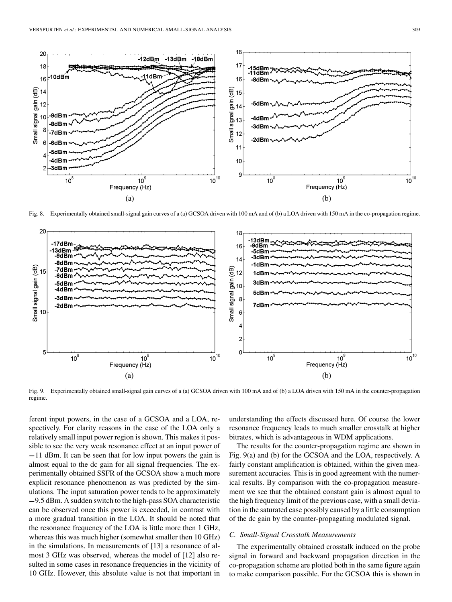

Fig. 8. Experimentally obtained small-signal gain curves of a (a) GCSOA driven with 100 mA and of (b) a LOA driven with 150 mA in the co-propagation regime.



Fig. 9. Experimentally obtained small-signal gain curves of a (a) GCSOA driven with 100 mA and of (b) a LOA driven with 150 mA in the counter-propagation regime.

ferent input powers, in the case of a GCSOA and a LOA, respectively. For clarity reasons in the case of the LOA only a relatively small input power region is shown. This makes it possible to see the very weak resonance effect at an input power of  $-11$  dBm. It can be seen that for low input powers the gain is almost equal to the dc gain for all signal frequencies. The experimentally obtained SSFR of the GCSOA show a much more explicit resonance phenomenon as was predicted by the simulations. The input saturation power tends to be approximately 9.5 dBm. A sudden switch to the high-pass SOA characteristic can be observed once this power is exceeded, in contrast with a more gradual transition in the LOA. It should be noted that the resonance frequency of the LOA is little more then 1 GHz, whereas this was much higher (somewhat smaller then 10 GHz) in the simulations. In measurements of [\[13](#page-9-0)] a resonance of almost 3 GHz was observed, whereas the model of [[12\]](#page-9-0) also resulted in some cases in resonance frequencies in the vicinity of 10 GHz. However, this absolute value is not that important in

understanding the effects discussed here. Of course the lower resonance frequency leads to much smaller crosstalk at higher bitrates, which is advantageous in WDM applications.

The results for the counter-propagation regime are shown in Fig. 9(a) and (b) for the GCSOA and the LOA, respectively. A fairly constant amplification is obtained, within the given measurement accuracies. This is in good agreement with the numerical results. By comparison with the co-propagation measurement we see that the obtained constant gain is almost equal to the high frequency limit of the previous case, with a small deviation in the saturated case possibly caused by a little consumption of the dc gain by the counter-propagating modulated signal.

#### *C. Small-Signal Crosstalk Measurements*

The experimentally obtained crosstalk induced on the probe signal in forward and backward propagation direction in the co-propagation scheme are plotted both in the same figure again to make comparison possible. For the GCSOA this is shown in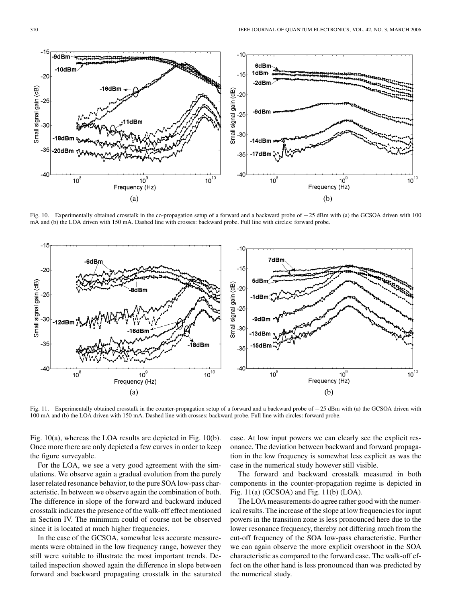

mA and (b) the LOA driven with 150 mA. Dashed line with crosses: backward probe. Full line with circles: forward probe.



100 mA and (b) the LOA driven with 150 mA. Dashed line with crosses: backward probe. Full line with circles: forward probe.

Fig. 10(a), whereas the LOA results are depicted in Fig. 10(b). Once more there are only depicted a few curves in order to keep the figure surveyable.

For the LOA, we see a very good agreement with the simulations. We observe again a gradual evolution from the purely laser related resonance behavior, to the pure SOA low-pass characteristic. In between we observe again the combination of both. The difference in slope of the forward and backward induced crosstalk indicates the presence of the walk-off effect mentioned in Section IV. The minimum could of course not be observed since it is located at much higher frequencies.

In the case of the GCSOA, somewhat less accurate measurements were obtained in the low frequency range, however they still were suitable to illustrate the most important trends. Detailed inspection showed again the difference in slope between forward and backward propagating crosstalk in the saturated case. At low input powers we can clearly see the explicit resonance. The deviation between backward and forward propagation in the low frequency is somewhat less explicit as was the case in the numerical study however still visible.

The forward and backward crosstalk measured in both components in the counter-propagation regime is depicted in Fig. 11(a) (GCSOA) and Fig. 11(b) (LOA).

The LOA measurements do agree rather good with the numerical results. The increase of the slope at low frequencies for input powers in the transition zone is less pronounced here due to the lower resonance frequency, thereby not differing much from the cut-off frequency of the SOA low-pass characteristic. Further we can again observe the more explicit overshoot in the SOA characteristic as compared to the forward case. The walk-off effect on the other hand is less pronounced than was predicted by the numerical study.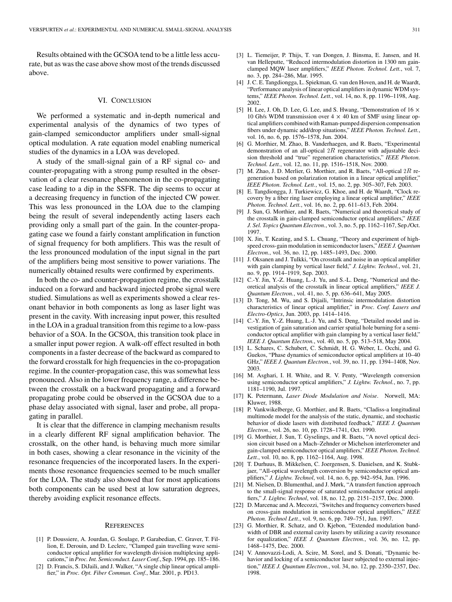<span id="page-9-0"></span>Results obtained with the GCSOA tend to be a little less accurate, but as was the case above show most of the trends discussed above.

# VI. CONCLUSION

We performed a systematic and in-depth numerical and experimental analysis of the dynamics of two types of gain-clamped semiconductor amplifiers under small-signal optical modulation. A rate equation model enabling numerical studies of the dynamics in a LOA was developed.

A study of the small-signal gain of a RF signal co- and counter-propagating with a strong pump resulted in the observation of a clear resonance phenomenon in the co-propagating case leading to a dip in the SSFR. The dip seems to occur at a decreasing frequency in function of the injected CW power. This was less pronounced in the LOA due to the clamping being the result of several independently acting lasers each providing only a small part of the gain. In the counter-propagating case we found a fairly constant amplification in function of signal frequency for both amplifiers. This was the result of the less pronounced modulation of the input signal in the part of the amplifiers being most sensitive to power variations. The numerically obtained results were confirmed by experiments.

In both the co- and counter-propagation regime, the crosstalk induced on a forward and backward injected probe signal were studied. Simulations as well as experiments showed a clear resonant behavior in both components as long as laser light was present in the cavity. With increasing input power, this resulted in the LOA in a gradual transition from this regime to a low-pass behavior of a SOA. In the GCSOA, this transition took place in a smaller input power region. A walk-off effect resulted in both components in a faster decrease of the backward as compared to the forward crosstalk for high frequencies in the co-propagation regime. In the counter-propagation case, this was somewhat less pronounced. Also in the lower frequency range, a difference between the crosstalk on a backward propagating and a forward propagating probe could be observed in the GCSOA due to a phase delay associated with signal, laser and probe, all propagating in parallel.

It is clear that the difference in clamping mechanism results in a clearly different RF signal amplification behavior. The crosstalk, on the other hand, is behaving much more similar in both cases, showing a clear resonance in the vicinity of the resonance frequencies of the incorporated lasers. In the experiments those resonance frequencies seemed to be much smaller for the LOA. The study also showed that for most applications both components can be used best at low saturation degrees, thereby avoiding explicit resonance effects.

## **REFERENCES**

- [1] P. Doussiere, A. Jourdan, G. Soulage, P. Garabedian, C. Graver, T. Fillion, E. Derouin, and D. Leclerc, "Clamped gain travelling wave semiconductor optical amplifier for wavelength division multiplexing applications," in *Proc. Int. Semiconduct. Laser Conf.*, Sep. 1994, pp. 185–186.
- [2] D. Francis, S. DiJaili, and J. Walker, "A single chip linear optical amplifier," in *Proc. Opt. Fiber Commun. Conf.*, Mar. 2001, p. PD13.
- [3] L. Tiemeijer, P. Thijs, T. van Dongen, J. Binsma, E. Jansen, and H. van Helleputte, "Reduced intermodulation distortion in 1300 nm gainclamped MQW laser amplifiers," *IEEE Photon. Technol. Lett.*, vol. 7, no. 3, pp. 284–286, Mar. 1995.
- [4] J. C. E. Tangdiongga, L. Spiekman, G. van den Hoven, and H. de Waardt, "Performance analysis of linear optical amplifiers in dynamic WDM systems," *IEEE Photon. Technol. Lett.*, vol. 14, no. 8, pp. 1196–1198, Aug. 2002.
- [5] H. Lee, J. Oh, D. Lee, G. Lee, and S. Hwang, "Demonstration of  $16 \times$ 10 Gb/s WDM transmission over  $4 \times 40$  km of SMF using linear optical amplifiers combined with Raman-pumped dispersion compensation fibers under dynamic add/drop situations," *IEEE Photon. Technol. Lett.*, vol. 16, no. 6, pp. 1576–1578, Jun. 2004.
- [6] G. Morthier, M. Zhao, B. Vanderhaegen, and R. Baets, "Experimental demonstration of an all-optical 2R regenerator with adjustable decision threshold and "true" regeneration characteristics," *IEEE Photon. Technol. Lett.*, vol. 12, no. 11, pp. 1516–1518, Nov. 2000.
- [7] M. Zhao, J. D. Merlier, G. Morthier, and R. Baets, "All-optical  $2R$  regeneration based on polarization rotation in a linear optical amplifier," *IEEE Photon. Technol. Lett.*, vol. 15, no. 2, pp. 305–307, Feb. 2003.
- [8] E. Tangdiongga, J. Turkiewicz, G. Khoe, and H. de Waardt, "Clock recovery by a fiber ring laser employing a linear optical amplifier," *IEEE Photon. Technol. Lett.*, vol. 16, no. 2, pp. 611–613, Feb. 2004.
- [9] J. Sun, G. Morthier, and R. Baets, "Numerical and theoretical study of the crosstalk in gain-clamped semiconductor optical amplifiers," *IEEE J. Sel. Topics Quantum Electron.*, vol. 3, no. 5, pp. 1162–1167, Sep./Oct. 1997.
- [10] X. Jin, T. Keating, and S. L. Chuang, "Theory and experiment of highspeed cross-gain modulation in semiconductor lasers," *IEEE J. Quantum Electron.*, vol. 36, no. 12, pp. 1485–1493, Dec. 2000.
- [11] J. Oksanen and J. Tulkki, "On crosstalk and noise in an optical amplifier with gain clamping by vertical laser field," *J. Lightw. Technol.*, vol. 21, no. 9, pp. 1914–1919, Sep. 2003.
- [12] C.-Y. Jin, Y.-Z. Huang, L.-J. Yu, and S.-L. Deng, "Numerical and theoretical analysis of the crosstalk in linear optical amplifiers," *IEEE J. Quantum Electron.*, vol. 41, no. 5, pp. 636–641, May 2005.
- [13] D. Tong, M. Wu, and S. Dijaili, "Intrinsic intermodulation distortion characteristics of linear optical amplifier," in *Proc. Conf. Lasers and Electro-Optics*, Jun. 2003, pp. 1414–1416.
- [14] C.-Y. Jin, Y.-Z. Huang, L.-J. Yu, and S. Deng, "Detailed model and investigation of gain saturation and carrier spatial hole burning for a semiconductor optical amplifier with gain clamping by a vertical laser field," *IEEE J. Quantum Electron.*, vol. 40, no. 5, pp. 513–518, May 2004.
- [15] L. Schares, C. Schubert, C. Schmidt, H. G. Weber, L. Occhi, and G. Guekos, "Phase dynamics of semiconductor optical amplifiers at 10–40 GHz," *IEEE J. Quantum Electron.*, vol. 39, no. 11, pp. 1394–1408, Nov. 2003.
- [16] M. Asghari, I. H. White, and R. V. Penty, "Wavelength conversion using semiconductor optical amplifiers," *J. Lightw. Technol.*, no. 7, pp. 1181–1190, Jul. 1997.
- [17] K. Petermann, *Laser Diode Modulation and Noise*. Norwell, MA: Kluwer, 1988.
- [18] P. Vankwikelberge, G. Morthier, and R. Baets, "Cladiss-a longitudinal multimode model for the analysis of the static, dynamic, and stochastic behavior of diode lasers with distributed feedback," *IEEE J. Quantum Electron.*, vol. 26, no. 10, pp. 1728–1741, Oct. 1990.
- [19] G. Morthier, J. Sun, T. Gyselings, and R. Baets, "A novel optical decision circuit based on a Mach–Zehnder or Michelson interferometer and gain-clamped semiconductor optical amplifiers," *IEEE Photon. Technol. Lett.*, vol. 10, no. 8, pp. 1162–1164, Aug. 1998.
- [20] T. Durhuus, B. Mikkelsen, C. Joergensen, S. Danielsen, and K. Stubkjaer, "All-optical wavelength conversion by semiconductor optical amplifiers," *J. Lightw. Technol*, vol. 14, no. 6, pp. 942–954, Jun. 1996.
- [21] M. Nielsen, D. Blumenthal, and J. Mørk, "A transfert function approach to the small-signal response of saturated semiconductor optical amplifiers," *J. Lightw. Technol*, vol. 18, no. 12, pp. 2151–2157, Dec. 2000.
- [22] D. Marcenac and A. Mecozzi, "Switches and frequency converters based on cross-gain modulation in semiconductor optical amplifiers," *IEEE Photon. Technol Lett.*, vol. 9, no. 6, pp. 749–751, Jun. 1997.
- [23] G. Morthier, R. Schatz, and O. Kjebon, "Extended modulation bandwidth of DBR and external cavity lasers by utilizing a cavity resonance for equalization," *IEEE J. Quantum Electron.*, vol. 36, no. 12, pp. 1468–1475, Dec. 2000.
- [24] V. Annovazzi-Lodi, A. Scire, M. Sorel, and S. Donati, "Dynamic behavior and locking of a semiconductor laser subjected to external injection," *IEEE J. Quantum Electron.*, vol. 34, no. 12, pp. 2350–2357, Dec. 1998.